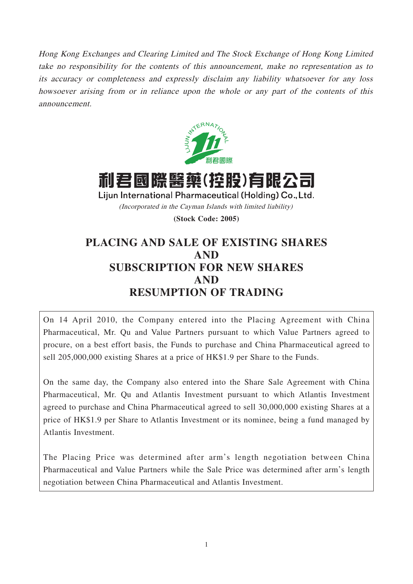Hong Kong Exchanges and Clearing Limited and The Stock Exchange of Hong Kong Limited take no responsibility for the contents of this announcement, make no representation as to its accuracy or completeness and expressly disclaim any liability whatsoever for any loss howsoever arising from or in reliance upon the whole or any part of the contents of this announcement.



利君國際醫藥(控股)有限公司 Lijun International Pharmaceutical (Holding) Co., Ltd. (Incorporated in the Cayman Islands with limited liability)

**(Stock Code: 2005)**

# **PLACING AND SALE OF EXISTING SHARES AND SUBSCRIPTION FOR NEW SHARES AND RESUMPTION OF TRADING**

On 14 April 2010, the Company entered into the Placing Agreement with China Pharmaceutical, Mr. Qu and Value Partners pursuant to which Value Partners agreed to procure, on a best effort basis, the Funds to purchase and China Pharmaceutical agreed to sell 205,000,000 existing Shares at a price of HK\$1.9 per Share to the Funds.

On the same day, the Company also entered into the Share Sale Agreement with China Pharmaceutical, Mr. Qu and Atlantis Investment pursuant to which Atlantis Investment agreed to purchase and China Pharmaceutical agreed to sell 30,000,000 existing Shares at a price of HK\$1.9 per Share to Atlantis Investment or its nominee, being a fund managed by Atlantis Investment.

The Placing Price was determined after arm's length negotiation between China Pharmaceutical and Value Partners while the Sale Price was determined after arm's length negotiation between China Pharmaceutical and Atlantis Investment.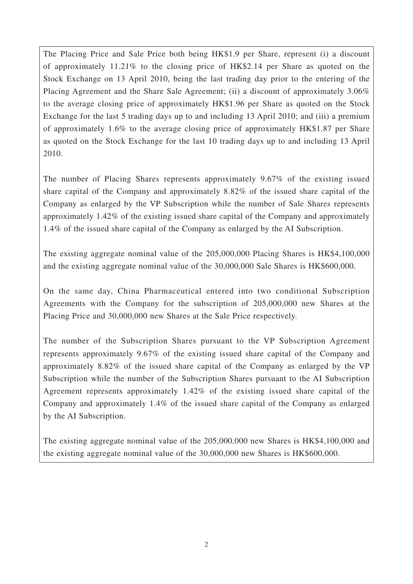The Placing Price and Sale Price both being HK\$1.9 per Share, represent (i) a discount of approximately 11.21% to the closing price of HK\$2.14 per Share as quoted on the Stock Exchange on 13 April 2010, being the last trading day prior to the entering of the Placing Agreement and the Share Sale Agreement; (ii) a discount of approximately 3.06% to the average closing price of approximately HK\$1.96 per Share as quoted on the Stock Exchange for the last 5 trading days up to and including 13 April 2010; and (iii) a premium of approximately 1.6% to the average closing price of approximately HK\$1.87 per Share as quoted on the Stock Exchange for the last 10 trading days up to and including 13 April 2010.

The number of Placing Shares represents approximately 9.67% of the existing issued share capital of the Company and approximately 8.82% of the issued share capital of the Company as enlarged by the VP Subscription while the number of Sale Shares represents approximately 1.42% of the existing issued share capital of the Company and approximately 1.4% of the issued share capital of the Company as enlarged by the AI Subscription.

The existing aggregate nominal value of the 205,000,000 Placing Shares is HK\$4,100,000 and the existing aggregate nominal value of the 30,000,000 Sale Shares is HK\$600,000.

On the same day, China Pharmaceutical entered into two conditional Subscription Agreements with the Company for the subscription of 205,000,000 new Shares at the Placing Price and 30,000,000 new Shares at the Sale Price respectively.

The number of the Subscription Shares pursuant to the VP Subscription Agreement represents approximately 9.67% of the existing issued share capital of the Company and approximately 8.82% of the issued share capital of the Company as enlarged by the VP Subscription while the number of the Subscription Shares pursuant to the AI Subscription Agreement represents approximately 1.42% of the existing issued share capital of the Company and approximately 1.4% of the issued share capital of the Company as enlarged by the AI Subscription.

The existing aggregate nominal value of the 205,000,000 new Shares is HK\$4,100,000 and the existing aggregate nominal value of the 30,000,000 new Shares is HK\$600,000.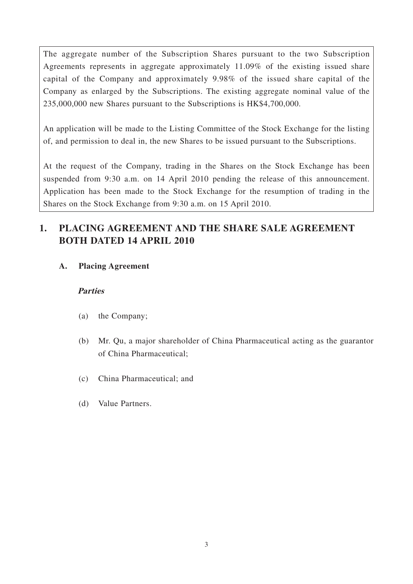The aggregate number of the Subscription Shares pursuant to the two Subscription Agreements represents in aggregate approximately 11.09% of the existing issued share capital of the Company and approximately 9.98% of the issued share capital of the Company as enlarged by the Subscriptions. The existing aggregate nominal value of the 235,000,000 new Shares pursuant to the Subscriptions is HK\$4,700,000.

An application will be made to the Listing Committee of the Stock Exchange for the listing of, and permission to deal in, the new Shares to be issued pursuant to the Subscriptions.

At the request of the Company, trading in the Shares on the Stock Exchange has been suspended from 9:30 a.m. on 14 April 2010 pending the release of this announcement. Application has been made to the Stock Exchange for the resumption of trading in the Shares on the Stock Exchange from 9:30 a.m. on 15 April 2010.

# **1. PLACING AGREEMENT AND THE SHARE SALE AGREEMENT BOTH DATED 14 APRIL 2010**

**A. Placing Agreement**

### **Parties**

- (a) the Company;
- (b) Mr. Qu, a major shareholder of China Pharmaceutical acting as the guarantor of China Pharmaceutical;
- (c) China Pharmaceutical; and
- (d) Value Partners.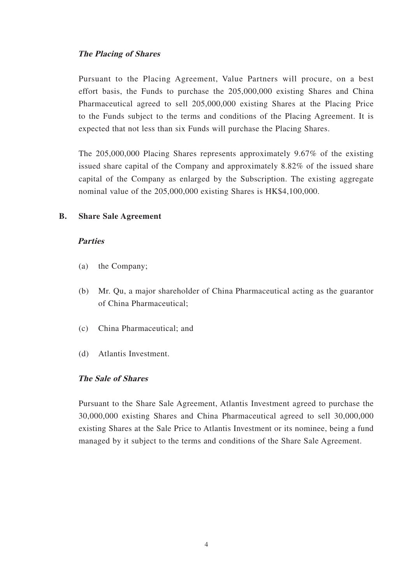#### **The Placing of Shares**

Pursuant to the Placing Agreement, Value Partners will procure, on a best effort basis, the Funds to purchase the 205,000,000 existing Shares and China Pharmaceutical agreed to sell 205,000,000 existing Shares at the Placing Price to the Funds subject to the terms and conditions of the Placing Agreement. It is expected that not less than six Funds will purchase the Placing Shares.

The 205,000,000 Placing Shares represents approximately 9.67% of the existing issued share capital of the Company and approximately 8.82% of the issued share capital of the Company as enlarged by the Subscription. The existing aggregate nominal value of the 205,000,000 existing Shares is HK\$4,100,000.

#### **B. Share Sale Agreement**

#### **Parties**

- (a) the Company;
- (b) Mr. Qu, a major shareholder of China Pharmaceutical acting as the guarantor of China Pharmaceutical;
- (c) China Pharmaceutical; and
- (d) Atlantis Investment.

#### **The Sale of Shares**

Pursuant to the Share Sale Agreement, Atlantis Investment agreed to purchase the 30,000,000 existing Shares and China Pharmaceutical agreed to sell 30,000,000 existing Shares at the Sale Price to Atlantis Investment or its nominee, being a fund managed by it subject to the terms and conditions of the Share Sale Agreement.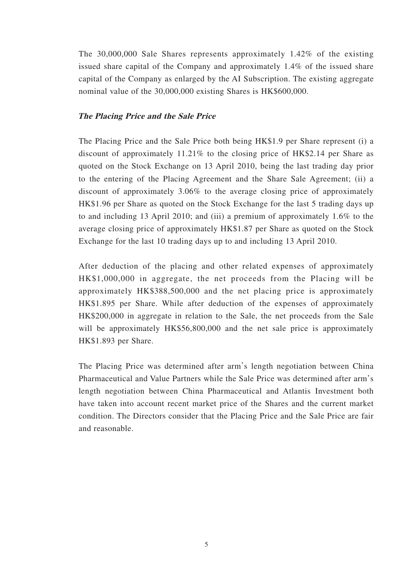The 30,000,000 Sale Shares represents approximately 1.42% of the existing issued share capital of the Company and approximately 1.4% of the issued share capital of the Company as enlarged by the AI Subscription. The existing aggregate nominal value of the 30,000,000 existing Shares is HK\$600,000.

#### **The Placing Price and the Sale Price**

The Placing Price and the Sale Price both being HK\$1.9 per Share represent (i) a discount of approximately 11.21% to the closing price of HK\$2.14 per Share as quoted on the Stock Exchange on 13 April 2010, being the last trading day prior to the entering of the Placing Agreement and the Share Sale Agreement; (ii) a discount of approximately 3.06% to the average closing price of approximately HK\$1.96 per Share as quoted on the Stock Exchange for the last 5 trading days up to and including 13 April 2010; and (iii) a premium of approximately 1.6% to the average closing price of approximately HK\$1.87 per Share as quoted on the Stock Exchange for the last 10 trading days up to and including 13 April 2010.

After deduction of the placing and other related expenses of approximately HK\$1,000,000 in aggregate, the net proceeds from the Placing will be approximately HK\$388,500,000 and the net placing price is approximately HK\$1.895 per Share. While after deduction of the expenses of approximately HK\$200,000 in aggregate in relation to the Sale, the net proceeds from the Sale will be approximately HK\$56,800,000 and the net sale price is approximately HK\$1.893 per Share.

The Placing Price was determined after arm's length negotiation between China Pharmaceutical and Value Partners while the Sale Price was determined after arm's length negotiation between China Pharmaceutical and Atlantis Investment both have taken into account recent market price of the Shares and the current market condition. The Directors consider that the Placing Price and the Sale Price are fair and reasonable.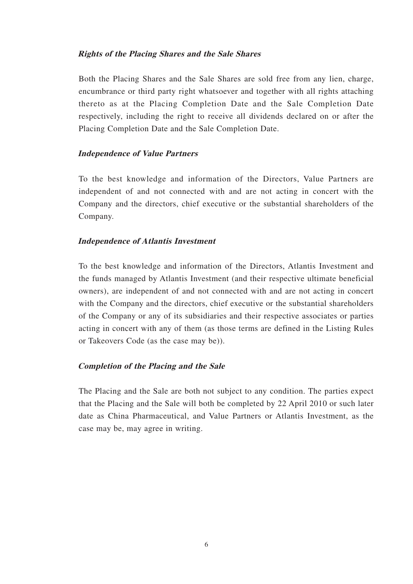#### **Rights of the Placing Shares and the Sale Shares**

Both the Placing Shares and the Sale Shares are sold free from any lien, charge, encumbrance or third party right whatsoever and together with all rights attaching thereto as at the Placing Completion Date and the Sale Completion Date respectively, including the right to receive all dividends declared on or after the Placing Completion Date and the Sale Completion Date.

#### **Independence of Value Partners**

To the best knowledge and information of the Directors, Value Partners are independent of and not connected with and are not acting in concert with the Company and the directors, chief executive or the substantial shareholders of the Company.

#### **Independence of Atlantis Investment**

To the best knowledge and information of the Directors, Atlantis Investment and the funds managed by Atlantis Investment (and their respective ultimate beneficial owners), are independent of and not connected with and are not acting in concert with the Company and the directors, chief executive or the substantial shareholders of the Company or any of its subsidiaries and their respective associates or parties acting in concert with any of them (as those terms are defined in the Listing Rules or Takeovers Code (as the case may be)).

#### **Completion of the Placing and the Sale**

The Placing and the Sale are both not subject to any condition. The parties expect that the Placing and the Sale will both be completed by 22 April 2010 or such later date as China Pharmaceutical, and Value Partners or Atlantis Investment, as the case may be, may agree in writing.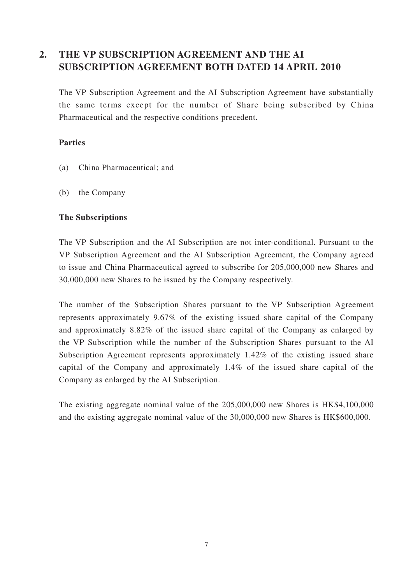## **2. THE VP SUBSCRIPTION AGREEMENT AND THE AI SUBSCRIPTION AGREEMENT BOTH DATED 14 APRIL 2010**

The VP Subscription Agreement and the AI Subscription Agreement have substantially the same terms except for the number of Share being subscribed by China Pharmaceutical and the respective conditions precedent.

### **Parties**

- (a) China Pharmaceutical; and
- (b) the Company

#### **The Subscriptions**

The VP Subscription and the AI Subscription are not inter-conditional. Pursuant to the VP Subscription Agreement and the AI Subscription Agreement, the Company agreed to issue and China Pharmaceutical agreed to subscribe for 205,000,000 new Shares and 30,000,000 new Shares to be issued by the Company respectively.

The number of the Subscription Shares pursuant to the VP Subscription Agreement represents approximately 9.67% of the existing issued share capital of the Company and approximately 8.82% of the issued share capital of the Company as enlarged by the VP Subscription while the number of the Subscription Shares pursuant to the AI Subscription Agreement represents approximately 1.42% of the existing issued share capital of the Company and approximately 1.4% of the issued share capital of the Company as enlarged by the AI Subscription.

The existing aggregate nominal value of the 205,000,000 new Shares is HK\$4,100,000 and the existing aggregate nominal value of the 30,000,000 new Shares is HK\$600,000.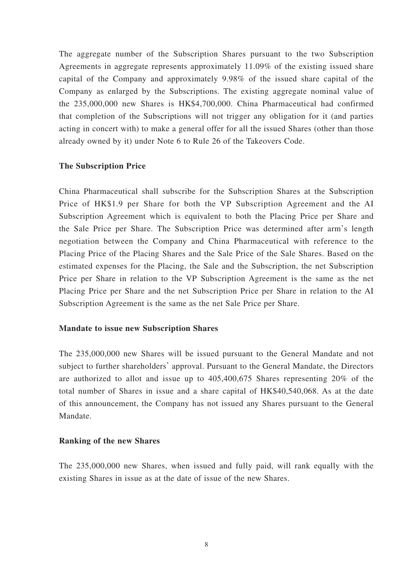The aggregate number of the Subscription Shares pursuant to the two Subscription Agreements in aggregate represents approximately 11.09% of the existing issued share capital of the Company and approximately 9.98% of the issued share capital of the Company as enlarged by the Subscriptions. The existing aggregate nominal value of the 235,000,000 new Shares is HK\$4,700,000. China Pharmaceutical had confirmed that completion of the Subscriptions will not trigger any obligation for it (and parties acting in concert with) to make a general offer for all the issued Shares (other than those already owned by it) under Note 6 to Rule 26 of the Takeovers Code.

#### **The Subscription Price**

China Pharmaceutical shall subscribe for the Subscription Shares at the Subscription Price of HK\$1.9 per Share for both the VP Subscription Agreement and the AI Subscription Agreement which is equivalent to both the Placing Price per Share and the Sale Price per Share. The Subscription Price was determined after arm's length negotiation between the Company and China Pharmaceutical with reference to the Placing Price of the Placing Shares and the Sale Price of the Sale Shares. Based on the estimated expenses for the Placing, the Sale and the Subscription, the net Subscription Price per Share in relation to the VP Subscription Agreement is the same as the net Placing Price per Share and the net Subscription Price per Share in relation to the AI Subscription Agreement is the same as the net Sale Price per Share.

#### **Mandate to issue new Subscription Shares**

The 235,000,000 new Shares will be issued pursuant to the General Mandate and not subject to further shareholders' approval. Pursuant to the General Mandate, the Directors are authorized to allot and issue up to 405,400,675 Shares representing 20% of the total number of Shares in issue and a share capital of HK\$40,540,068. As at the date of this announcement, the Company has not issued any Shares pursuant to the General Mandate.

#### **Ranking of the new Shares**

The 235,000,000 new Shares, when issued and fully paid, will rank equally with the existing Shares in issue as at the date of issue of the new Shares.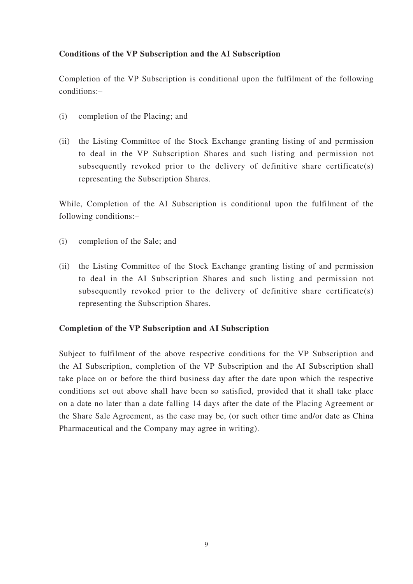### **Conditions of the VP Subscription and the AI Subscription**

Completion of the VP Subscription is conditional upon the fulfilment of the following conditions:–

- (i) completion of the Placing; and
- (ii) the Listing Committee of the Stock Exchange granting listing of and permission to deal in the VP Subscription Shares and such listing and permission not subsequently revoked prior to the delivery of definitive share certificate(s) representing the Subscription Shares.

While, Completion of the AI Subscription is conditional upon the fulfilment of the following conditions:–

- (i) completion of the Sale; and
- (ii) the Listing Committee of the Stock Exchange granting listing of and permission to deal in the AI Subscription Shares and such listing and permission not subsequently revoked prior to the delivery of definitive share certificate(s) representing the Subscription Shares.

#### **Completion of the VP Subscription and AI Subscription**

Subject to fulfilment of the above respective conditions for the VP Subscription and the AI Subscription, completion of the VP Subscription and the AI Subscription shall take place on or before the third business day after the date upon which the respective conditions set out above shall have been so satisfied, provided that it shall take place on a date no later than a date falling 14 days after the date of the Placing Agreement or the Share Sale Agreement, as the case may be, (or such other time and/or date as China Pharmaceutical and the Company may agree in writing).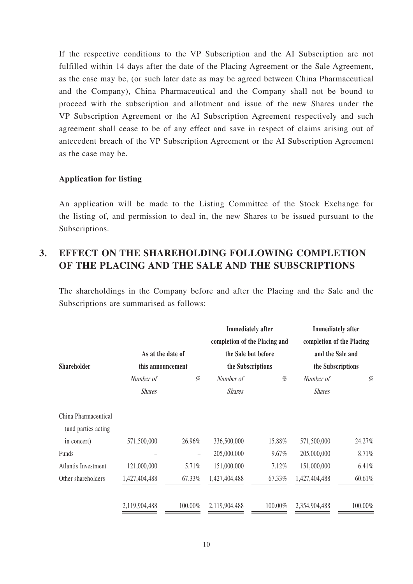If the respective conditions to the VP Subscription and the AI Subscription are not fulfilled within 14 days after the date of the Placing Agreement or the Sale Agreement, as the case may be, (or such later date as may be agreed between China Pharmaceutical and the Company), China Pharmaceutical and the Company shall not be bound to proceed with the subscription and allotment and issue of the new Shares under the VP Subscription Agreement or the AI Subscription Agreement respectively and such agreement shall cease to be of any effect and save in respect of claims arising out of antecedent breach of the VP Subscription Agreement or the AI Subscription Agreement as the case may be.

#### **Application for listing**

An application will be made to the Listing Committee of the Stock Exchange for the listing of, and permission to deal in, the new Shares to be issued pursuant to the Subscriptions.

## **3. EFFECT ON THE SHAREHOLDING FOLLOWING COMPLETION OF THE PLACING AND THE SALE AND THE SUBSCRIPTIONS**

The shareholdings in the Company before and after the Placing and the Sale and the Subscriptions are summarised as follows:

|                     |                                        |         | <b>Immediately</b> after<br>completion of the Placing and |         | <b>Immediately</b> after<br>completion of the Placing |         |                            |
|---------------------|----------------------------------------|---------|-----------------------------------------------------------|---------|-------------------------------------------------------|---------|----------------------------|
| <b>Shareholder</b>  |                                        |         |                                                           |         |                                                       |         |                            |
|                     | As at the date of<br>this announcement |         | the Sale but before<br>the Subscriptions                  |         | and the Sale and<br>the Subscriptions                 |         |                            |
|                     |                                        |         |                                                           |         |                                                       |         | Number of<br><b>Shares</b> |
|                     | China Pharmaceutical                   |         |                                                           |         |                                                       |         |                            |
|                     | (and parties acting)                   |         |                                                           |         |                                                       |         |                            |
| in concert)         | 571,500,000                            | 26.96%  | 336,500,000                                               | 15.88%  | 571,500,000                                           | 24.27%  |                            |
| Funds               |                                        |         | 205,000,000                                               | 9.67%   | 205,000,000                                           | 8.71%   |                            |
| Atlantis Investment | 121,000,000                            | 5.71%   | 151,000,000                                               | 7.12%   | 151,000,000                                           | 6.41%   |                            |
| Other shareholders  | 1,427,404,488                          | 67.33%  | 1,427,404,488                                             | 67.33%  | 1,427,404,488                                         | 60.61%  |                            |
|                     | 2,119,904,488                          | 100.00% | 2,119,904,488                                             | 100.00% | 2,354,904,488                                         | 100.00% |                            |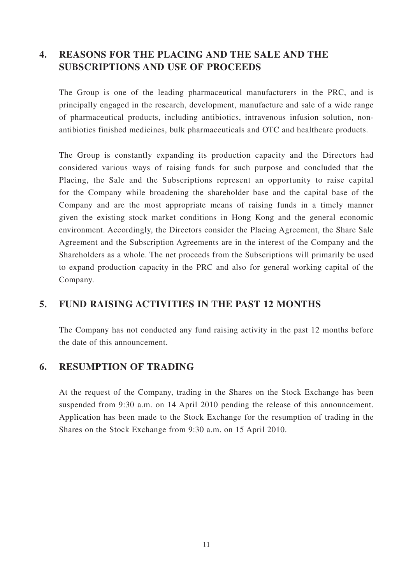## **4. REASONS FOR THE PLACING AND THE SALE AND THE SUBSCRIPTIONS AND USE OF PROCEEDS**

The Group is one of the leading pharmaceutical manufacturers in the PRC, and is principally engaged in the research, development, manufacture and sale of a wide range of pharmaceutical products, including antibiotics, intravenous infusion solution, nonantibiotics finished medicines, bulk pharmaceuticals and OTC and healthcare products.

The Group is constantly expanding its production capacity and the Directors had considered various ways of raising funds for such purpose and concluded that the Placing, the Sale and the Subscriptions represent an opportunity to raise capital for the Company while broadening the shareholder base and the capital base of the Company and are the most appropriate means of raising funds in a timely manner given the existing stock market conditions in Hong Kong and the general economic environment. Accordingly, the Directors consider the Placing Agreement, the Share Sale Agreement and the Subscription Agreements are in the interest of the Company and the Shareholders as a whole. The net proceeds from the Subscriptions will primarily be used to expand production capacity in the PRC and also for general working capital of the Company.

## **5. FUND RAISING ACTIVITIES IN THE PAST 12 MONTHS**

The Company has not conducted any fund raising activity in the past 12 months before the date of this announcement.

### **6. RESUMPTION OF TRADING**

At the request of the Company, trading in the Shares on the Stock Exchange has been suspended from 9:30 a.m. on 14 April 2010 pending the release of this announcement. Application has been made to the Stock Exchange for the resumption of trading in the Shares on the Stock Exchange from 9:30 a.m. on 15 April 2010.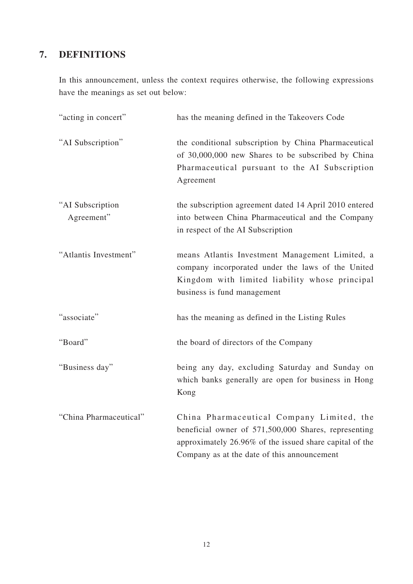# **7. DEFINITIONS**

In this announcement, unless the context requires otherwise, the following expressions have the meanings as set out below:

| "acting in concert"            | has the meaning defined in the Takeovers Code                                                                                                                                                               |
|--------------------------------|-------------------------------------------------------------------------------------------------------------------------------------------------------------------------------------------------------------|
| "AI Subscription"              | the conditional subscription by China Pharmaceutical<br>of 30,000,000 new Shares to be subscribed by China<br>Pharmaceutical pursuant to the AI Subscription<br>Agreement                                   |
| "AI Subscription<br>Agreement" | the subscription agreement dated 14 April 2010 entered<br>into between China Pharmaceutical and the Company<br>in respect of the AI Subscription                                                            |
| "Atlantis Investment"          | means Atlantis Investment Management Limited, a<br>company incorporated under the laws of the United<br>Kingdom with limited liability whose principal<br>business is fund management                       |
| "associate"                    | has the meaning as defined in the Listing Rules                                                                                                                                                             |
| "Board"                        | the board of directors of the Company                                                                                                                                                                       |
| "Business day"                 | being any day, excluding Saturday and Sunday on<br>which banks generally are open for business in Hong<br>Kong                                                                                              |
| "China Pharmaceutical"         | China Pharmaceutical Company Limited, the<br>beneficial owner of 571,500,000 Shares, representing<br>approximately 26.96% of the issued share capital of the<br>Company as at the date of this announcement |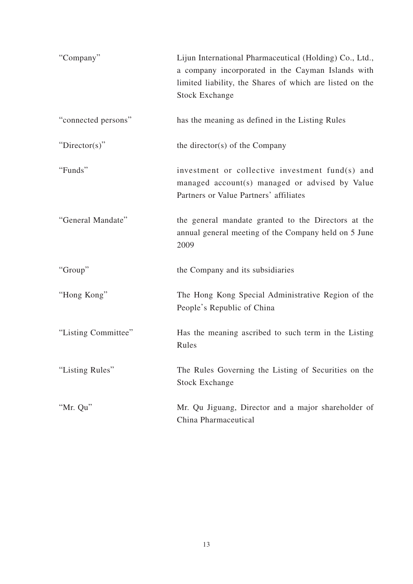| "Company"           | Lijun International Pharmaceutical (Holding) Co., Ltd.,<br>a company incorporated in the Cayman Islands with<br>limited liability, the Shares of which are listed on the<br><b>Stock Exchange</b> |
|---------------------|---------------------------------------------------------------------------------------------------------------------------------------------------------------------------------------------------|
| "connected persons" | has the meaning as defined in the Listing Rules                                                                                                                                                   |
| " $Directory$ "     | the director(s) of the Company                                                                                                                                                                    |
| "Funds"             | investment or collective investment fund(s) and<br>managed account(s) managed or advised by Value<br>Partners or Value Partners' affiliates                                                       |
| "General Mandate"   | the general mandate granted to the Directors at the<br>annual general meeting of the Company held on 5 June<br>2009                                                                               |
| "Group"             | the Company and its subsidiaries                                                                                                                                                                  |
| "Hong Kong"         | The Hong Kong Special Administrative Region of the<br>People's Republic of China                                                                                                                  |
| "Listing Committee" | Has the meaning ascribed to such term in the Listing<br>Rules                                                                                                                                     |
| "Listing Rules"     | The Rules Governing the Listing of Securities on the<br><b>Stock Exchange</b>                                                                                                                     |
| "Mr. Qu"            | Mr. Qu Jiguang, Director and a major shareholder of<br>China Pharmaceutical                                                                                                                       |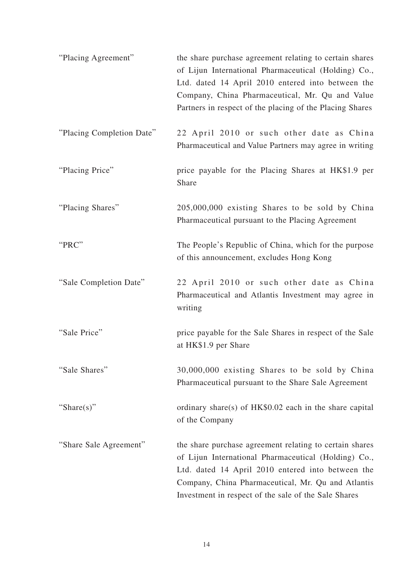| "Placing Agreement"       | the share purchase agreement relating to certain shares<br>of Lijun International Pharmaceutical (Holding) Co.,<br>Ltd. dated 14 April 2010 entered into between the<br>Company, China Pharmaceutical, Mr. Qu and Value<br>Partners in respect of the placing of the Placing Shares |
|---------------------------|-------------------------------------------------------------------------------------------------------------------------------------------------------------------------------------------------------------------------------------------------------------------------------------|
| "Placing Completion Date" | 22 April 2010 or such other date as China<br>Pharmaceutical and Value Partners may agree in writing                                                                                                                                                                                 |
| "Placing Price"           | price payable for the Placing Shares at HK\$1.9 per<br>Share                                                                                                                                                                                                                        |
| "Placing Shares"          | 205,000,000 existing Shares to be sold by China<br>Pharmaceutical pursuant to the Placing Agreement                                                                                                                                                                                 |
| "PRC"                     | The People's Republic of China, which for the purpose<br>of this announcement, excludes Hong Kong                                                                                                                                                                                   |
| "Sale Completion Date"    | 22 April 2010 or such other date as China<br>Pharmaceutical and Atlantis Investment may agree in<br>writing                                                                                                                                                                         |
| "Sale Price"              | price payable for the Sale Shares in respect of the Sale<br>at HK\$1.9 per Share                                                                                                                                                                                                    |
| "Sale Shares"             | 30,000,000 existing Shares to be sold by China<br>Pharmaceutical pursuant to the Share Sale Agreement                                                                                                                                                                               |
| "Share(s)"                | ordinary share(s) of HK\$0.02 each in the share capital<br>of the Company                                                                                                                                                                                                           |
| "Share Sale Agreement"    | the share purchase agreement relating to certain shares<br>of Lijun International Pharmaceutical (Holding) Co.,<br>Ltd. dated 14 April 2010 entered into between the<br>Company, China Pharmaceutical, Mr. Qu and Atlantis<br>Investment in respect of the sale of the Sale Shares  |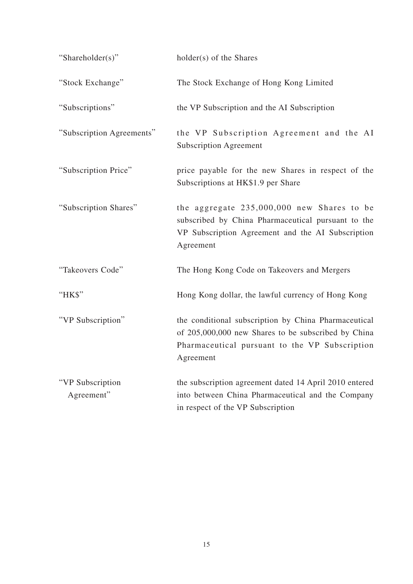| "Shareholder(s)"               | holder(s) of the Shares                                                                                                                                                    |
|--------------------------------|----------------------------------------------------------------------------------------------------------------------------------------------------------------------------|
| "Stock Exchange"               | The Stock Exchange of Hong Kong Limited                                                                                                                                    |
| "Subscriptions"                | the VP Subscription and the AI Subscription                                                                                                                                |
| "Subscription Agreements"      | the VP Subscription Agreement and the AI<br><b>Subscription Agreement</b>                                                                                                  |
| "Subscription Price"           | price payable for the new Shares in respect of the<br>Subscriptions at HK\$1.9 per Share                                                                                   |
| "Subscription Shares"          | the aggregate 235,000,000 new Shares to be<br>subscribed by China Pharmaceutical pursuant to the<br>VP Subscription Agreement and the AI Subscription<br>Agreement         |
| "Takeovers Code"               | The Hong Kong Code on Takeovers and Mergers                                                                                                                                |
| "HK\$"                         | Hong Kong dollar, the lawful currency of Hong Kong                                                                                                                         |
| "VP Subscription"              | the conditional subscription by China Pharmaceutical<br>of 205,000,000 new Shares to be subscribed by China<br>Pharmaceutical pursuant to the VP Subscription<br>Agreement |
| "VP Subscription<br>Agreement" | the subscription agreement dated 14 April 2010 entered<br>into between China Pharmaceutical and the Company<br>in respect of the VP Subscription                           |